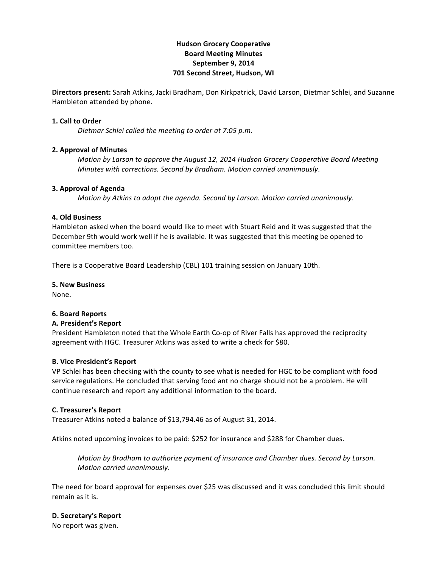# **Hudson'Grocery'Cooperative Board'Meeting'Minutes** September 9, 2014 **701 Second Street, Hudson, WI**

**Directors present:** Sarah Atkins, Jacki Bradham, Don Kirkpatrick, David Larson, Dietmar Schlei, and Suzanne Hambleton attended by phone.

### **1. Call to Order**

*Dietmar Schlei called the meeting to order at 7:05 p.m.* 

### **2. Approval of Minutes**

*Motion by Larson to approve the August 12, 2014 Hudson Grocery Cooperative Board Meeting Minutes with corrections. Second by Bradham. Motion carried unanimously.* 

### **3. Approval of Agenda**

*Motion by Atkins to adopt the agenda. Second by Larson. Motion carried unanimously.* 

### **4. Old'Business**

Hambleton asked when the board would like to meet with Stuart Reid and it was suggested that the December 9th would work well if he is available. It was suggested that this meeting be opened to committee members too.

There is a Cooperative Board Leadership (CBL) 101 training session on January 10th.

**5.'New'Business'**

None.

# **6.'Board'Reports**

### A. President's Report

President Hambleton noted that the Whole Earth Co-op of River Falls has approved the reciprocity agreement with HGC. Treasurer Atkins was asked to write a check for \$80.

### **B.'Vice'President's Report**

VP Schlei has been checking with the county to see what is needed for HGC to be compliant with food service regulations. He concluded that serving food ant no charge should not be a problem. He will continue research and report any additional information to the board.

# **C.'Treasurer's'Report**

Treasurer Atkins noted a balance of \$13,794.46 as of August 31, 2014.

Atkins noted upcoming invoices to be paid: \$252 for insurance and \$288 for Chamber dues.

*Motion by Bradham to authorize payment of insurance and Chamber dues. Second by Larson. Motion carried unanimously.* 

The need for board approval for expenses over \$25 was discussed and it was concluded this limit should remain as it is.

# **D. Secretary's Report**

No report was given.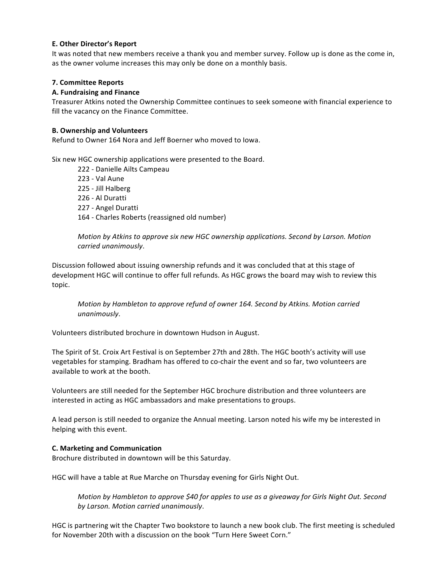# **E. Other Director's Report**

It was noted that new members receive a thank you and member survey. Follow up is done as the come in, as the owner volume increases this may only be done on a monthly basis.

# **7.'Committee'Reports**

# **A.'Fundraising and'Finance'**

Treasurer Atkins noted the Ownership Committee continues to seek someone with financial experience to fill the vacancy on the Finance Committee.

## **B.'Ownership and'Volunteers**

Refund to Owner 164 Nora and Jeff Boerner who moved to Jowa.

Six new HGC ownership applications were presented to the Board.

222 - Danielle Ailts Campeau 223 - Val Aune 225 - Jill Halberg 226 - Al Duratti 227 - Angel Duratti 164 - Charles Roberts (reassigned old number)

*Motion by Atkins to approve six new HGC ownership applications. Second by Larson. Motion carried(unanimously*.

Discussion followed about issuing ownership refunds and it was concluded that at this stage of development HGC will continue to offer full refunds. As HGC grows the board may wish to review this topic.

*Motion by Hambleton to approve refund of owner 164. Second by Atkins. Motion carried unanimously*.

Volunteers distributed brochure in downtown Hudson in August.

The Spirit of St. Croix Art Festival is on September 27th and 28th. The HGC booth's activity will use vegetables for stamping. Bradham has offered to co-chair the event and so far, two volunteers are available to work at the booth.

Volunteers are still needed for the September HGC brochure distribution and three volunteers are interested in acting as HGC ambassadors and make presentations to groups.

A lead person is still needed to organize the Annual meeting. Larson noted his wife my be interested in helping with this event.

# **C.'Marketing'and'Communication**

Brochure distributed in downtown will be this Saturday.

HGC will have a table at Rue Marche on Thursday evening for Girls Night Out.

*Motion by Hambleton to approve \$40 for apples to use as a giveaway for Girls Night Out. Second* by Larson. Motion carried unanimously.

HGC is partnering wit the Chapter Two bookstore to launch a new book club. The first meeting is scheduled for November 20th with a discussion on the book "Turn Here Sweet Corn."